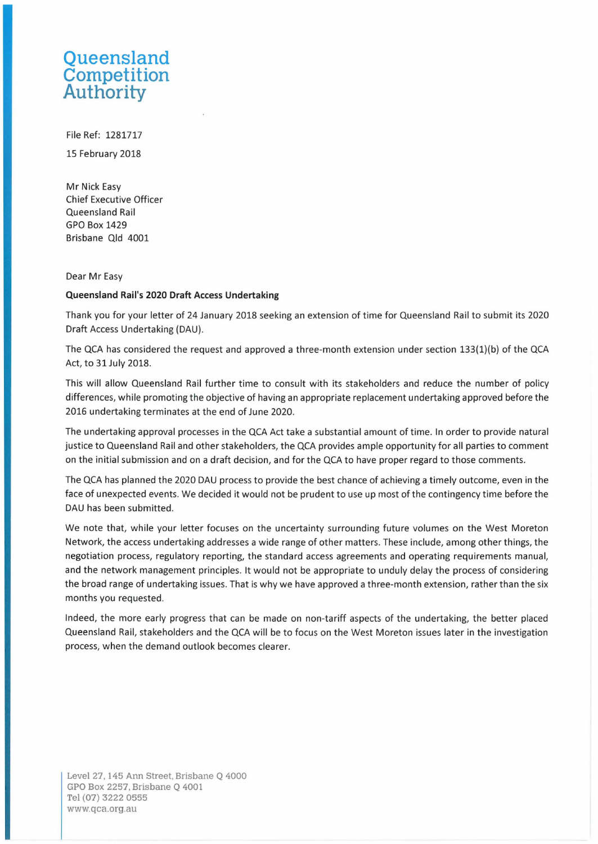## **Queensland Competition Authority**

File Ref: 1281717

15 February 2018

Mr Nick Easy Chief Executive Officer Queensland Rail GPO Box 1429 Brisbane Qld 4001

Dear Mr Easy

## **Queensland Rail's 2020 Draft Access Undertaking**

Thank you for your letter of 24 January 2018 seeking an extension of time for Queensland Rail to submit its 2020 Draft Access Undertaking (DAU).

The QCA has considered the request and approved a three-month extension under section 133(1)(b) of the QCA Act, to 31 July 2018.

This will allow Queensland Rail further time to consult with its stakeholders and reduce the number of policy differences, while promoting the objective of having an appropriate replacement undertaking approved before the 2016 undertaking terminates at the end of June 2020.

The undertaking approval processes in the QCA Act take a substantial amount of time. In order to provide natural justice to Queensland Rail and other stakeholders, the QCA provides ample opportunity for all parties to comment on the initial submission and on a draft decision, and for the QCA to have proper regard to those comments.

The QCA has planned the 2020 DAU process to provide the best chance of achieving a timely outcome, even in the face of unexpected events. We decided it would not be prudent to use up most of the contingency time before the DAU has been submitted.

We note that, while your letter focuses on the uncertainty surrounding future volumes on the West Moreton Network, the access undertaking addresses a wide range of other matters. These include, among other things, the negotiation process, regulatory reporting, the standard access agreements and operating requirements manual, and the network management principles. It would not be appropriate to unduly delay the process of considering the broad range of undertaking issues. That is why we have approved a three-month extension, rather than the six months you requested.

Indeed, the more early progress that can be made on non-tariff aspects of the undertaking, the better placed Queensland Rail, stakeholders and the QCA will be to focus on the West Moreton issues later in the investigation process, when the demand outlook becomes clearer.

Level 27. 145 Ann Street. Brisbane Q 4000 GPO Box 2257, Brisbane Q 4001 Tel (07) 3222 0555 [www.qca.org.au](http://www.qca.org.au)